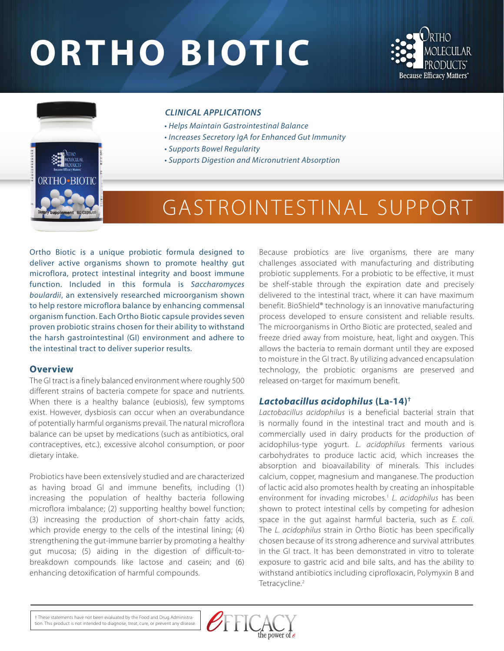# **ORTHO BIOTIC**





#### *CLINICAL APPLICATIONS*

- *Helps Maintain Gastrointestinal Balance*
- *Increases Secretory IgA for Enhanced Gut Immunity*
- *Supports Bowel Regularity*
- *Supports Digestion and Micronutrient Absorption*

## GASTROINTESTINAL SUPPORT

Ortho Biotic is a unique probiotic formula designed to deliver active organisms shown to promote healthy gut microflora, protect intestinal integrity and boost immune function. Included in this formula is *Saccharomyces boulardii*, an extensively researched microorganism shown to help restore microflora balance by enhancing commensal organism function. Each Ortho Biotic capsule provides seven proven probiotic strains chosen for their ability to withstand the harsh gastrointestinal (GI) environment and adhere to the intestinal tract to deliver superior results.

#### **Overview**

The GI tract is a finely balanced environment where roughly 500 different strains of bacteria compete for space and nutrients. When there is a healthy balance (eubiosis), few symptoms exist. However, dysbiosis can occur when an overabundance of potentially harmful organisms prevail. The natural microflora balance can be upset by medications (such as antibiotics, oral contraceptives, etc.), excessive alcohol consumption, or poor dietary intake.

Probiotics have been extensively studied and are characterized as having broad GI and immune benefits, including (1) increasing the population of healthy bacteria following microflora imbalance; (2) supporting healthy bowel function; (3) increasing the production of short-chain fatty acids, which provide energy to the cells of the intestinal lining; (4) strengthening the gut-immune barrier by promoting a healthy gut mucosa; (5) aiding in the digestion of difficult-tobreakdown compounds like lactose and casein; and (6) enhancing detoxification of harmful compounds.

Because probiotics are live organisms, there are many challenges associated with manufacturing and distributing probiotic supplements. For a probiotic to be effective, it must be shelf-stable through the expiration date and precisely delivered to the intestinal tract, where it can have maximum benefit. BioShield® technology is an innovative manufacturing process developed to ensure consistent and reliable results. The microorganisms in Ortho Biotic are protected, sealed and freeze dried away from moisture, heat, light and oxygen. This allows the bacteria to remain dormant until they are exposed to moisture in the GI tract. By utilizing advanced encapsulation technology, the probiotic organisms are preserved and released on-target for maximum benefit.

#### *Lactobacillus acidophilus* **(La-14)†**

*Lactobacillus acidophilus* is a beneficial bacterial strain that is normally found in the intestinal tract and mouth and is commercially used in dairy products for the production of acidophilus-type yogurt. *L. acidophilus* ferments various carbohydrates to produce lactic acid, which increases the absorption and bioavailability of minerals. This includes calcium, copper, magnesium and manganese. The production of lactic acid also promotes health by creating an inhospitable environment for invading microbes.1 *L. acidophilus* has been shown to protect intestinal cells by competing for adhesion space in the gut against harmful bacteria, such as *E. coli.*  The *L. acidophilus* strain in Ortho Biotic has been specifically chosen because of its strong adherence and survival attributes in the GI tract. It has been demonstrated in vitro to tolerate exposure to gastric acid and bile salts, and has the ability to withstand antibiotics including ciprofloxacin, Polymyxin B and Tetracycline.<sup>2</sup>

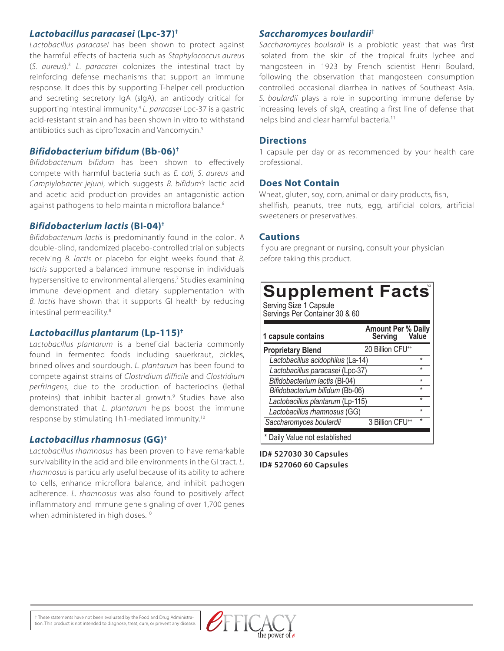#### *Lactobacillus paracasei* **(Lpc-37)†**

*Lactobacillus paracasei* has been shown to protect against the harmful effects of bacteria such as *Staphylococcus aureus* (*S. aureus*).3 *L. paracasei* colonizes the intestinal tract by reinforcing defense mechanisms that support an immune response. It does this by supporting T-helper cell production and secreting secretory IgA (sIgA), an antibody critical for supporting intestinal immunity.4  *L. paracasei* Lpc-37 is a gastric acid-resistant strain and has been shown in vitro to withstand antibiotics such as ciprofloxacin and Vancomycin.5

#### *Bifidobacterium bifidum* **(Bb-06)†**

*Bifidobacterium bifidum* has been shown to effectively compete with harmful bacteria such as *E. coli*, *S. aureus* and *Camplylobacter jejuni*, which suggests *B. bifidum's* lactic acid and acetic acid production provides an antagonistic action against pathogens to help maintain microflora balance.<sup>6</sup>

#### *Bifidobacterium lactis* **(BI-04)†**

*Bifidobacterium lactis* is predominantly found in the colon. A double-blind, randomized placebo-controlled trial on subjects receiving *B. lactis* or placebo for eight weeks found that *B. lactis* supported a balanced immune response in individuals hypersensitive to environmental allergens.<sup>7</sup> Studies examining immune development and dietary supplementation with *B. lactis* have shown that it supports GI health by reducing intestinal permeability.8

#### *Lactobacillus plantarum* **(Lp-115)†**

*Lactobacillus plantarum* is a beneficial bacteria commonly found in fermented foods including sauerkraut, pickles, brined olives and sourdough. *L. plantarum* has been found to compete against strains of *Clostridium difficile* and *Clostridium perfringens*, due to the production of bacteriocins (lethal proteins) that inhibit bacterial growth.<sup>9</sup> Studies have also demonstrated that *L. plantarum* helps boost the immune response by stimulating Th1-mediated immunity.10

#### *Lactobacillus rhamnosus* **(GG)†**

*Lactobacillus rhamnosus* has been proven to have remarkable survivability in the acid and bile environments in the GI tract. *L. rhamnosus* is particularly useful because of its ability to adhere to cells, enhance microflora balance, and inhibit pathogen adherence. *L. rhamnosus* was also found to positively affect inflammatory and immune gene signaling of over 1,700 genes when administered in high doses.<sup>10</sup>

#### *Saccharomyces boulardii***†**

*Saccharomyces boulardii* is a probiotic yeast that was first isolated from the skin of the tropical fruits lychee and mangosteen in 1923 by French scientist Henri Boulard, following the observation that mangosteen consumption controlled occasional diarrhea in natives of Southeast Asia. *S. boulardii* plays a role in supporting immune defense by increasing levels of sIgA, creating a first line of defense that helps bind and clear harmful bacteria.<sup>11</sup>

#### **Directions**

1 capsule per day or as recommended by your health care professional.

#### **Does Not Contain**

Wheat, gluten, soy, corn, animal or dairy products, fish, shellfish, peanuts, tree nuts, egg, artificial colors, artificial sweeteners or preservatives.

#### **Cautions**

If you are pregnant or nursing, consult your physician before taking this product.

### **Supplement Facts**

Serving Size 1 Capsule Servings Per Container 30 & 60

| 1 capsule contains                | <b>Amount Per % Daily</b><br>Serving | Value   |
|-----------------------------------|--------------------------------------|---------|
| <b>Proprietary Blend</b>          | 20 Billion CFU <sup>++</sup>         |         |
| Lactobacillus acidophilus (La-14) |                                      | ÷       |
| Lactobacillus paracasei (Lpc-37)  |                                      | ÷       |
| Bifidobacterium lactis (BI-04)    |                                      | $\star$ |
| Bifidobacterium bifidum (Bb-06)   |                                      | $\star$ |
| Lactobacillus plantarum (Lp-115)  |                                      | $\star$ |
| Lactobacillus rhamnosus (GG)      |                                      | ÷       |
| Saccharomyces boulardii           | 3 Billion CFU <sup>++</sup>          | ÷       |
| * Daily Value not established     |                                      |         |

**ID# 527030 30 Capsules ID# 527060 60 Capsules**